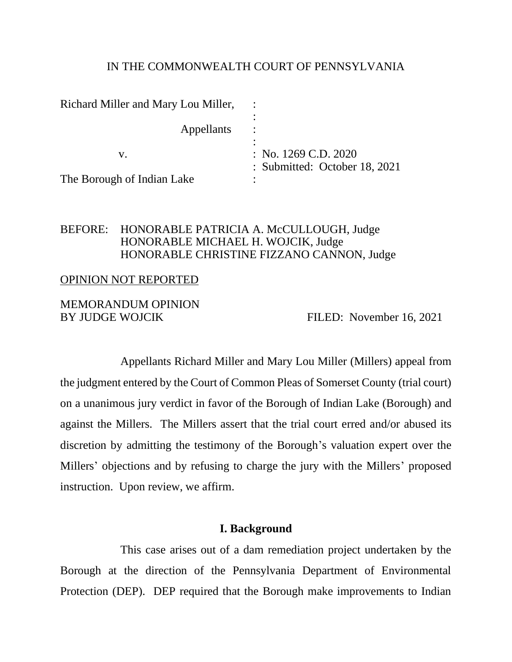#### IN THE COMMONWEALTH COURT OF PENNSYLVANIA

| Richard Miller and Mary Lou Miller, |                                                           |
|-------------------------------------|-----------------------------------------------------------|
| Appellants                          |                                                           |
| V.                                  | : No. $1269$ C.D. $2020$<br>: Submitted: October 18, 2021 |
| The Borough of Indian Lake          |                                                           |

## BEFORE: HONORABLE PATRICIA A. McCULLOUGH, Judge HONORABLE MICHAEL H. WOJCIK, Judge HONORABLE CHRISTINE FIZZANO CANNON, Judge

#### OPINION NOT REPORTED

## MEMORANDUM OPINION BY JUDGE WOJCIK FILED: November 16, 2021

Appellants Richard Miller and Mary Lou Miller (Millers) appeal from the judgment entered by the Court of Common Pleas of Somerset County (trial court) on a unanimous jury verdict in favor of the Borough of Indian Lake (Borough) and against the Millers. The Millers assert that the trial court erred and/or abused its discretion by admitting the testimony of the Borough's valuation expert over the Millers' objections and by refusing to charge the jury with the Millers' proposed instruction. Upon review, we affirm.

#### **I. Background**

This case arises out of a dam remediation project undertaken by the Borough at the direction of the Pennsylvania Department of Environmental Protection (DEP). DEP required that the Borough make improvements to Indian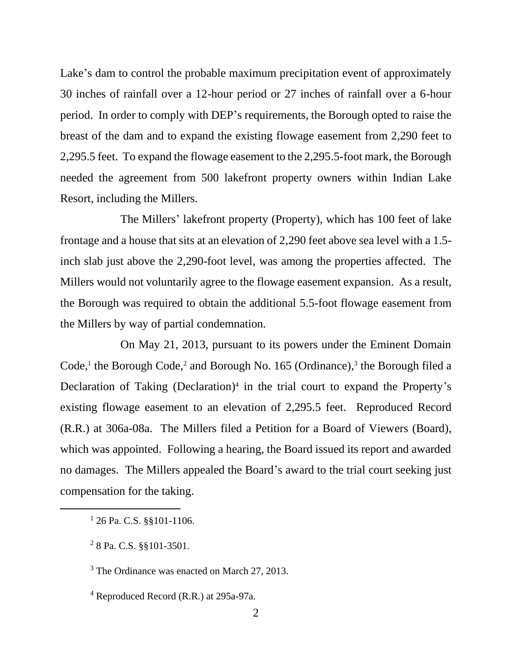Lake's dam to control the probable maximum precipitation event of approximately 30 inches of rainfall over a 12-hour period or 27 inches of rainfall over a 6-hour period. In order to comply with DEP's requirements, the Borough opted to raise the breast of the dam and to expand the existing flowage easement from 2,290 feet to 2,295.5 feet. To expand the flowage easement to the 2,295.5-foot mark, the Borough needed the agreement from 500 lakefront property owners within Indian Lake Resort, including the Millers.

The Millers' lakefront property (Property), which has 100 feet of lake frontage and a house that sits at an elevation of 2,290 feet above sea level with a 1.5 inch slab just above the 2,290-foot level, was among the properties affected. The Millers would not voluntarily agree to the flowage easement expansion. As a result, the Borough was required to obtain the additional 5.5-foot flowage easement from the Millers by way of partial condemnation.

On May 21, 2013, pursuant to its powers under the Eminent Domain Code,<sup>1</sup> the Borough Code,<sup>2</sup> and Borough No. 165 (Ordinance),<sup>3</sup> the Borough filed a Declaration of Taking (Declaration)<sup>4</sup> in the trial court to expand the Property's existing flowage easement to an elevation of 2,295.5 feet. Reproduced Record (R.R.) at 306a-08a. The Millers filed a Petition for a Board of Viewers (Board), which was appointed. Following a hearing, the Board issued its report and awarded no damages. The Millers appealed the Board's award to the trial court seeking just compensation for the taking.

<sup>&</sup>lt;sup>1</sup> 26 Pa. C.S. §§101-1106.

<sup>&</sup>lt;sup>2</sup> 8 Pa. C.S. §§101-3501.

<sup>&</sup>lt;sup>3</sup> The Ordinance was enacted on March 27, 2013.

<sup>4</sup> Reproduced Record (R.R.) at 295a-97a.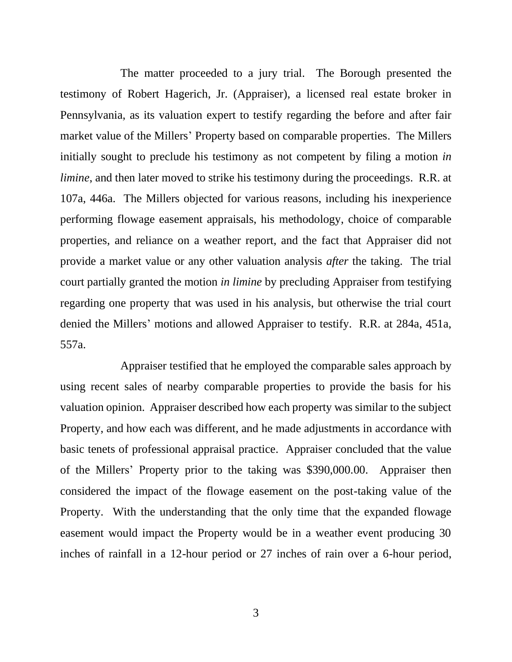The matter proceeded to a jury trial. The Borough presented the testimony of Robert Hagerich, Jr. (Appraiser), a licensed real estate broker in Pennsylvania, as its valuation expert to testify regarding the before and after fair market value of the Millers' Property based on comparable properties. The Millers initially sought to preclude his testimony as not competent by filing a motion *in limine*, and then later moved to strike his testimony during the proceedings. R.R. at 107a, 446a. The Millers objected for various reasons, including his inexperience performing flowage easement appraisals, his methodology, choice of comparable properties, and reliance on a weather report, and the fact that Appraiser did not provide a market value or any other valuation analysis *after* the taking. The trial court partially granted the motion *in limine* by precluding Appraiser from testifying regarding one property that was used in his analysis, but otherwise the trial court denied the Millers' motions and allowed Appraiser to testify. R.R. at 284a, 451a, 557a.

Appraiser testified that he employed the comparable sales approach by using recent sales of nearby comparable properties to provide the basis for his valuation opinion. Appraiser described how each property was similar to the subject Property, and how each was different, and he made adjustments in accordance with basic tenets of professional appraisal practice. Appraiser concluded that the value of the Millers' Property prior to the taking was \$390,000.00. Appraiser then considered the impact of the flowage easement on the post-taking value of the Property. With the understanding that the only time that the expanded flowage easement would impact the Property would be in a weather event producing 30 inches of rainfall in a 12-hour period or 27 inches of rain over a 6-hour period,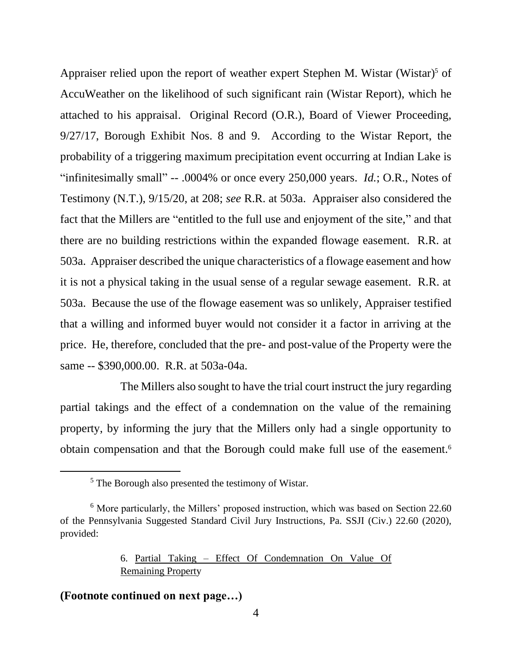Appraiser relied upon the report of weather expert Stephen M. Wistar (Wistar)<sup>5</sup> of AccuWeather on the likelihood of such significant rain (Wistar Report), which he attached to his appraisal. Original Record (O.R.), Board of Viewer Proceeding, 9/27/17, Borough Exhibit Nos. 8 and 9. According to the Wistar Report, the probability of a triggering maximum precipitation event occurring at Indian Lake is "infinitesimally small" -- .0004% or once every 250,000 years. *Id.*; O.R., Notes of Testimony (N.T.), 9/15/20, at 208; *see* R.R. at 503a. Appraiser also considered the fact that the Millers are "entitled to the full use and enjoyment of the site," and that there are no building restrictions within the expanded flowage easement. R.R. at 503a. Appraiser described the unique characteristics of a flowage easement and how it is not a physical taking in the usual sense of a regular sewage easement. R.R. at 503a. Because the use of the flowage easement was so unlikely, Appraiser testified that a willing and informed buyer would not consider it a factor in arriving at the price. He, therefore, concluded that the pre- and post-value of the Property were the same -- \$390,000.00. R.R. at 503a-04a.

The Millers also sought to have the trial court instruct the jury regarding partial takings and the effect of a condemnation on the value of the remaining property, by informing the jury that the Millers only had a single opportunity to obtain compensation and that the Borough could make full use of the easement.<sup>6</sup>

## 6. Partial Taking – Effect Of Condemnation On Value Of Remaining Property

## **(Footnote continued on next page…)**

<sup>5</sup> The Borough also presented the testimony of Wistar.

<sup>&</sup>lt;sup>6</sup> More particularly, the Millers' proposed instruction, which was based on Section 22.60 of the Pennsylvania Suggested Standard Civil Jury Instructions, Pa. SSJI (Civ.) 22.60 (2020), provided: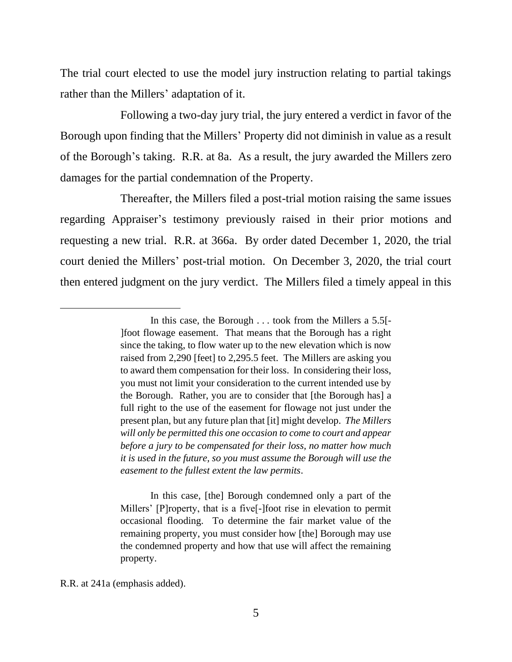The trial court elected to use the model jury instruction relating to partial takings rather than the Millers' adaptation of it.

Following a two-day jury trial, the jury entered a verdict in favor of the Borough upon finding that the Millers' Property did not diminish in value as a result of the Borough's taking. R.R. at 8a. As a result, the jury awarded the Millers zero damages for the partial condemnation of the Property.

Thereafter, the Millers filed a post-trial motion raising the same issues regarding Appraiser's testimony previously raised in their prior motions and requesting a new trial. R.R. at 366a. By order dated December 1, 2020, the trial court denied the Millers' post-trial motion. On December 3, 2020, the trial court then entered judgment on the jury verdict. The Millers filed a timely appeal in this

In this case, [the] Borough condemned only a part of the Millers' [P]roperty, that is a five[-]foot rise in elevation to permit occasional flooding. To determine the fair market value of the remaining property, you must consider how [the] Borough may use the condemned property and how that use will affect the remaining property.

R.R. at 241a (emphasis added).

In this case, the Borough . . . took from the Millers a 5.5[- ]foot flowage easement. That means that the Borough has a right since the taking, to flow water up to the new elevation which is now raised from 2,290 [feet] to 2,295.5 feet. The Millers are asking you to award them compensation for their loss. In considering their loss, you must not limit your consideration to the current intended use by the Borough. Rather, you are to consider that [the Borough has] a full right to the use of the easement for flowage not just under the present plan, but any future plan that [it] might develop. *The Millers will only be permitted this one occasion to come to court and appear before a jury to be compensated for their loss, no matter how much it is used in the future, so you must assume the Borough will use the easement to the fullest extent the law permits*.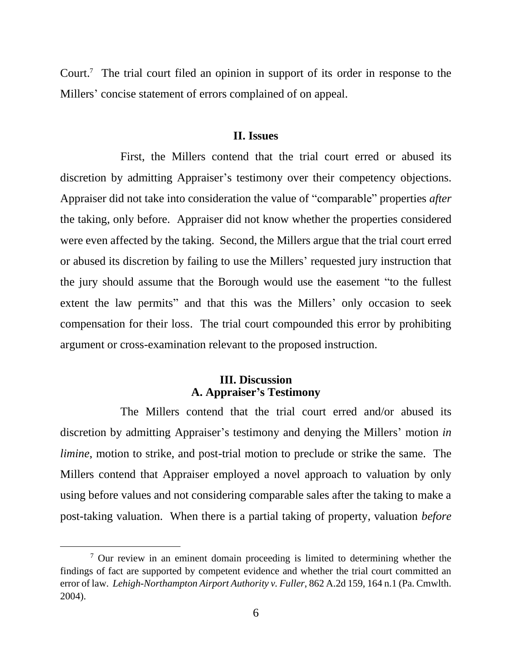Court.<sup>7</sup> The trial court filed an opinion in support of its order in response to the Millers' concise statement of errors complained of on appeal.

#### **II. Issues**

First, the Millers contend that the trial court erred or abused its discretion by admitting Appraiser's testimony over their competency objections. Appraiser did not take into consideration the value of "comparable" properties *after* the taking, only before. Appraiser did not know whether the properties considered were even affected by the taking. Second, the Millers argue that the trial court erred or abused its discretion by failing to use the Millers' requested jury instruction that the jury should assume that the Borough would use the easement "to the fullest extent the law permits" and that this was the Millers' only occasion to seek compensation for their loss. The trial court compounded this error by prohibiting argument or cross-examination relevant to the proposed instruction.

## **III. Discussion A. Appraiser's Testimony**

The Millers contend that the trial court erred and/or abused its discretion by admitting Appraiser's testimony and denying the Millers' motion *in limine*, motion to strike, and post-trial motion to preclude or strike the same. The Millers contend that Appraiser employed a novel approach to valuation by only using before values and not considering comparable sales after the taking to make a post-taking valuation. When there is a partial taking of property, valuation *before* 

 $\frac{7}{1}$  Our review in an eminent domain proceeding is limited to determining whether the findings of fact are supported by competent evidence and whether the trial court committed an error of law. *Lehigh-Northampton Airport Authority v. Fuller*, 862 A.2d 159, 164 n.1 (Pa. Cmwlth. 2004).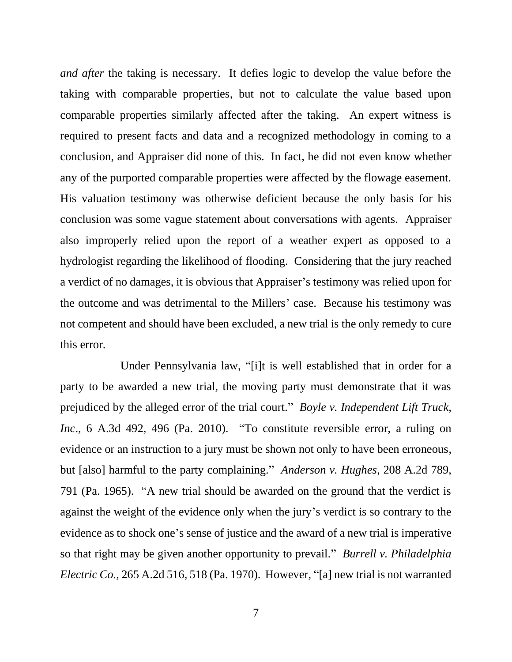*and after* the taking is necessary. It defies logic to develop the value before the taking with comparable properties, but not to calculate the value based upon comparable properties similarly affected after the taking. An expert witness is required to present facts and data and a recognized methodology in coming to a conclusion, and Appraiser did none of this. In fact, he did not even know whether any of the purported comparable properties were affected by the flowage easement. His valuation testimony was otherwise deficient because the only basis for his conclusion was some vague statement about conversations with agents. Appraiser also improperly relied upon the report of a weather expert as opposed to a hydrologist regarding the likelihood of flooding. Considering that the jury reached a verdict of no damages, it is obvious that Appraiser's testimony was relied upon for the outcome and was detrimental to the Millers' case. Because his testimony was not competent and should have been excluded, a new trial is the only remedy to cure this error.

Under Pennsylvania law, "[i]t is well established that in order for a party to be awarded a new trial, the moving party must demonstrate that it was prejudiced by the alleged error of the trial court." *Boyle v. Independent Lift Truck, Inc*., 6 A.3d 492, 496 (Pa. 2010). "To constitute reversible error, a ruling on evidence or an instruction to a jury must be shown not only to have been erroneous, but [also] harmful to the party complaining." *Anderson v. Hughes*, 208 A.2d 789, 791 (Pa. 1965). "A new trial should be awarded on the ground that the verdict is against the weight of the evidence only when the jury's verdict is so contrary to the evidence as to shock one's sense of justice and the award of a new trial is imperative so that right may be given another opportunity to prevail." *Burrell v. Philadelphia Electric Co.*, 265 A.2d 516, 518 (Pa. 1970). However, "[a] new trial is not warranted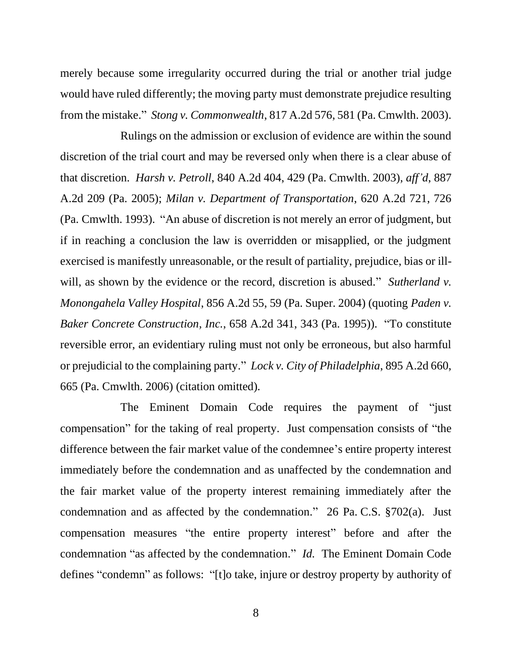merely because some irregularity occurred during the trial or another trial judge would have ruled differently; the moving party must demonstrate prejudice resulting from the mistake." *Stong v. Commonwealth*, 817 A.2d 576, 581 (Pa. Cmwlth. 2003).

Rulings on the admission or exclusion of evidence are within the sound discretion of the trial court and may be reversed only when there is a clear abuse of that discretion. *Harsh v. Petroll*, 840 A.2d 404, 429 (Pa. Cmwlth. 2003), *aff'd*, 887 A.2d 209 (Pa. 2005); *Milan v. Department of Transportation*, 620 A.2d 721, 726 (Pa. Cmwlth. 1993). "An abuse of discretion is not merely an error of judgment, but if in reaching a conclusion the law is overridden or misapplied, or the judgment exercised is manifestly unreasonable, or the result of partiality, prejudice, bias or illwill, as shown by the evidence or the record, discretion is abused." *Sutherland v. Monongahela Valley Hospital*, 856 A.2d 55, 59 (Pa. Super. 2004) (quoting *Paden v. Baker Concrete Construction, Inc.*, 658 A.2d 341, 343 (Pa. 1995)). "To constitute reversible error, an evidentiary ruling must not only be erroneous, but also harmful or prejudicial to the complaining party." *Lock v. City of Philadelphia*, 895 A.2d 660, 665 (Pa. Cmwlth. 2006) (citation omitted).

The Eminent Domain Code requires the payment of "just compensation" for the taking of real property. Just compensation consists of "the difference between the fair market value of the condemnee's entire property interest immediately before the condemnation and as unaffected by the condemnation and the fair market value of the property interest remaining immediately after the condemnation and as affected by the condemnation." 26 Pa. C.S. §702(a). Just compensation measures "the entire property interest" before and after the condemnation "as affected by the condemnation." *Id.* The Eminent Domain Code defines "condemn" as follows: "[t]o take, injure or destroy property by authority of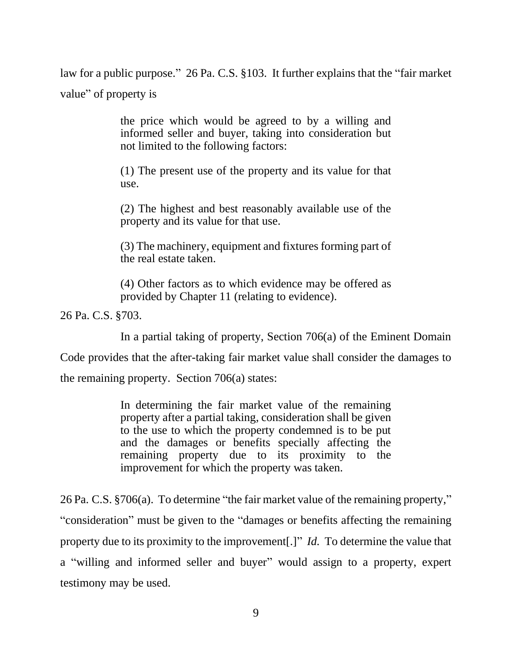law for a public purpose." 26 Pa. C.S. §103. It further explains that the "fair market value" of property is

> the price which would be agreed to by a willing and informed seller and buyer, taking into consideration but not limited to the following factors:

> (1) The present use of the property and its value for that use.

> (2) The highest and best reasonably available use of the property and its value for that use.

> (3) The machinery, equipment and fixtures forming part of the real estate taken.

> (4) Other factors as to which evidence may be offered as provided by Chapter 11 (relating to evidence).

26 Pa. C.S. §703.

In a partial taking of property, Section 706(a) of the Eminent Domain

Code provides that the after-taking fair market value shall consider the damages to

the remaining property. Section 706(a) states:

In determining the fair market value of the remaining property after a partial taking, consideration shall be given to the use to which the property condemned is to be put and the damages or benefits specially affecting the remaining property due to its proximity to the improvement for which the property was taken.

26 Pa. C.S. §706(a). To determine "the fair market value of the remaining property," "consideration" must be given to the "damages or benefits affecting the remaining property due to its proximity to the improvement[.]" *Id.* To determine the value that a "willing and informed seller and buyer" would assign to a property, expert testimony may be used.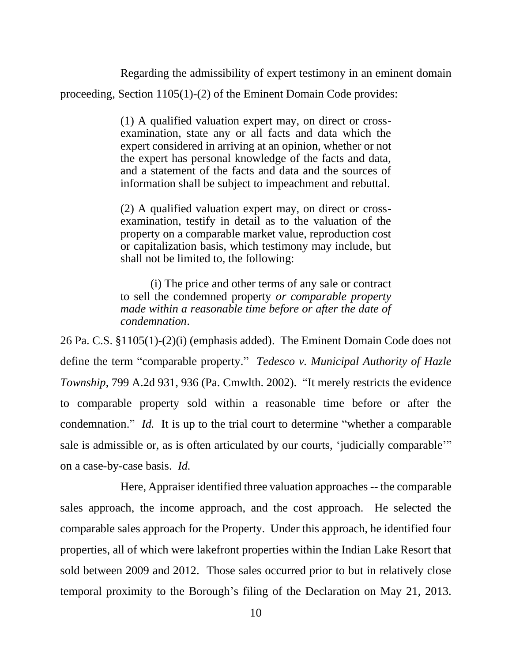Regarding the admissibility of expert testimony in an eminent domain proceeding, Section 1105(1)-(2) of the Eminent Domain Code provides:

> (1) A qualified valuation expert may, on direct or crossexamination, state any or all facts and data which the expert considered in arriving at an opinion, whether or not the expert has personal knowledge of the facts and data, and a statement of the facts and data and the sources of information shall be subject to impeachment and rebuttal.

> (2) A qualified valuation expert may, on direct or crossexamination, testify in detail as to the valuation of the property on a comparable market value, reproduction cost or capitalization basis, which testimony may include, but shall not be limited to, the following:

> (i) The price and other terms of any sale or contract to sell the condemned property *or comparable property made within a reasonable time before or after the date of condemnation*.

26 Pa. C.S. §1105(1)-(2)(i) (emphasis added). The Eminent Domain Code does not define the term "comparable property." *Tedesco v. Municipal Authority of Hazle Township*, 799 A.2d 931, 936 (Pa. Cmwlth. 2002). "It merely restricts the evidence to comparable property sold within a reasonable time before or after the condemnation." *Id.* It is up to the trial court to determine "whether a comparable sale is admissible or, as is often articulated by our courts, 'judicially comparable'" on a case-by-case basis. *Id.*

Here, Appraiser identified three valuation approaches -- the comparable sales approach, the income approach, and the cost approach. He selected the comparable sales approach for the Property. Under this approach, he identified four properties, all of which were lakefront properties within the Indian Lake Resort that sold between 2009 and 2012. Those sales occurred prior to but in relatively close temporal proximity to the Borough's filing of the Declaration on May 21, 2013.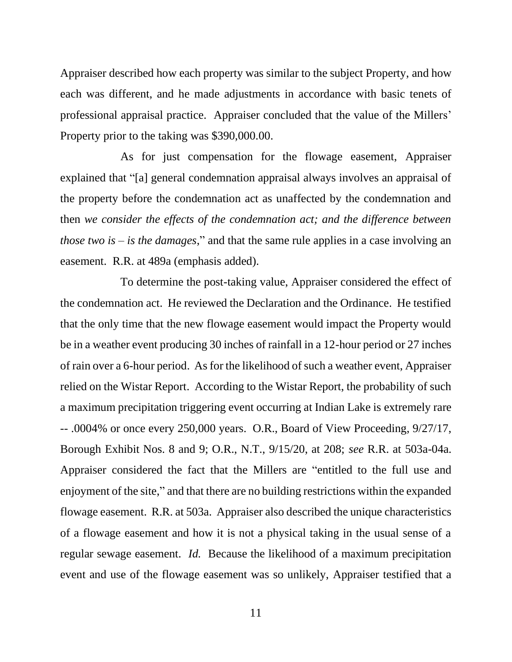Appraiser described how each property was similar to the subject Property, and how each was different, and he made adjustments in accordance with basic tenets of professional appraisal practice. Appraiser concluded that the value of the Millers' Property prior to the taking was \$390,000.00.

As for just compensation for the flowage easement, Appraiser explained that "[a] general condemnation appraisal always involves an appraisal of the property before the condemnation act as unaffected by the condemnation and then *we consider the effects of the condemnation act; and the difference between those two is – is the damages*," and that the same rule applies in a case involving an easement. R.R. at 489a (emphasis added).

To determine the post-taking value, Appraiser considered the effect of the condemnation act. He reviewed the Declaration and the Ordinance. He testified that the only time that the new flowage easement would impact the Property would be in a weather event producing 30 inches of rainfall in a 12-hour period or 27 inches of rain over a 6-hour period. As for the likelihood of such a weather event, Appraiser relied on the Wistar Report. According to the Wistar Report, the probability of such a maximum precipitation triggering event occurring at Indian Lake is extremely rare -- .0004% or once every 250,000 years. O.R., Board of View Proceeding, 9/27/17, Borough Exhibit Nos. 8 and 9; O.R., N.T., 9/15/20, at 208; *see* R.R. at 503a-04a. Appraiser considered the fact that the Millers are "entitled to the full use and enjoyment of the site," and that there are no building restrictions within the expanded flowage easement. R.R. at 503a. Appraiser also described the unique characteristics of a flowage easement and how it is not a physical taking in the usual sense of a regular sewage easement. *Id.* Because the likelihood of a maximum precipitation event and use of the flowage easement was so unlikely, Appraiser testified that a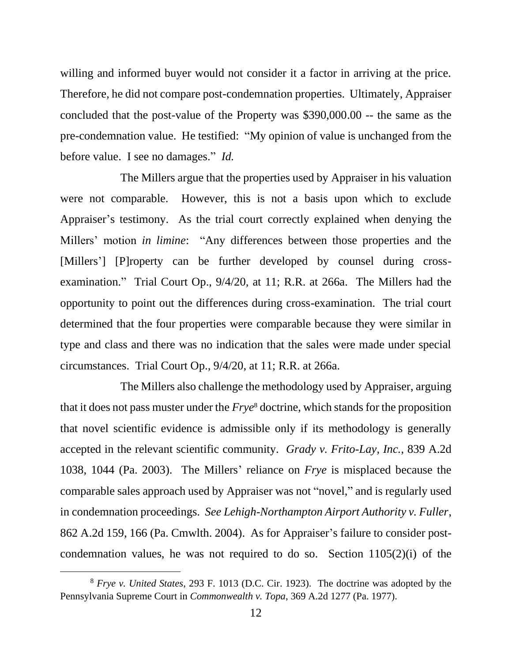willing and informed buyer would not consider it a factor in arriving at the price. Therefore, he did not compare post-condemnation properties. Ultimately, Appraiser concluded that the post-value of the Property was \$390,000.00 -- the same as the pre-condemnation value. He testified: "My opinion of value is unchanged from the before value. I see no damages." *Id.*

The Millers argue that the properties used by Appraiser in his valuation were not comparable. However, this is not a basis upon which to exclude Appraiser's testimony. As the trial court correctly explained when denying the Millers' motion *in limine*: "Any differences between those properties and the [Millers'] [P]roperty can be further developed by counsel during crossexamination." Trial Court Op., 9/4/20, at 11; R.R. at 266a. The Millers had the opportunity to point out the differences during cross-examination. The trial court determined that the four properties were comparable because they were similar in type and class and there was no indication that the sales were made under special circumstances. Trial Court Op., 9/4/20, at 11; R.R. at 266a.

The Millers also challenge the methodology used by Appraiser, arguing that it does not pass muster under the *Frye*<sup>8</sup> doctrine, which stands for the proposition that novel scientific evidence is admissible only if its methodology is generally accepted in the relevant scientific community. *Grady v. Frito-Lay, Inc.*, 839 A.2d 1038, 1044 (Pa. 2003). The Millers' reliance on *Frye* is misplaced because the comparable sales approach used by Appraiser was not "novel," and is regularly used in condemnation proceedings. *See Lehigh-Northampton Airport Authority v. Fuller*, 862 A.2d 159, 166 (Pa. Cmwlth. 2004). As for Appraiser's failure to consider postcondemnation values, he was not required to do so. Section 1105(2)(i) of the

<sup>8</sup> *Frye v. United States*, 293 F. 1013 (D.C. Cir. 1923). The doctrine was adopted by the Pennsylvania Supreme Court in *Commonwealth v. Topa*, 369 A.2d 1277 (Pa. 1977).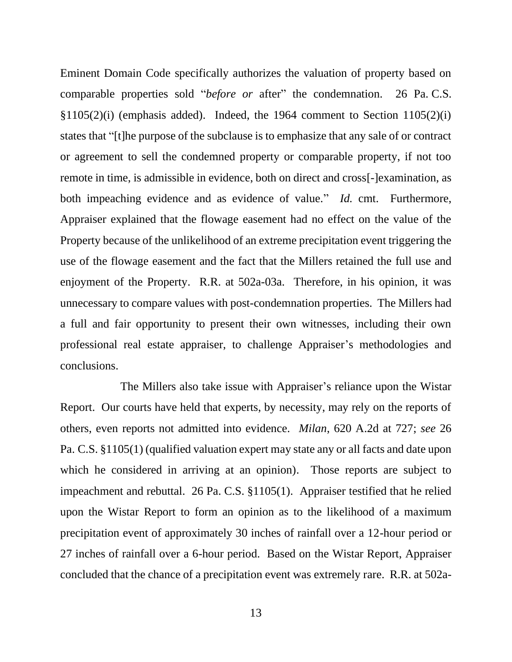Eminent Domain Code specifically authorizes the valuation of property based on comparable properties sold "*before or* after" the condemnation. 26 Pa. C.S. §1105(2)(i) (emphasis added). Indeed, the 1964 comment to Section 1105(2)(i) states that "[t]he purpose of the subclause is to emphasize that any sale of or contract or agreement to sell the condemned property or comparable property, if not too remote in time, is admissible in evidence, both on direct and cross[-]examination, as both impeaching evidence and as evidence of value." *Id.* cmt. Furthermore, Appraiser explained that the flowage easement had no effect on the value of the Property because of the unlikelihood of an extreme precipitation event triggering the use of the flowage easement and the fact that the Millers retained the full use and enjoyment of the Property. R.R. at 502a-03a. Therefore, in his opinion, it was unnecessary to compare values with post-condemnation properties. The Millers had a full and fair opportunity to present their own witnesses, including their own professional real estate appraiser, to challenge Appraiser's methodologies and conclusions.

The Millers also take issue with Appraiser's reliance upon the Wistar Report. Our courts have held that experts, by necessity, may rely on the reports of others, even reports not admitted into evidence. *Milan*, 620 A.2d at 727; *see* 26 Pa. C.S. §1105(1) (qualified valuation expert may state any or all facts and date upon which he considered in arriving at an opinion). Those reports are subject to impeachment and rebuttal. 26 Pa. C.S. §1105(1). Appraiser testified that he relied upon the Wistar Report to form an opinion as to the likelihood of a maximum precipitation event of approximately 30 inches of rainfall over a 12-hour period or 27 inches of rainfall over a 6-hour period. Based on the Wistar Report, Appraiser concluded that the chance of a precipitation event was extremely rare. R.R. at 502a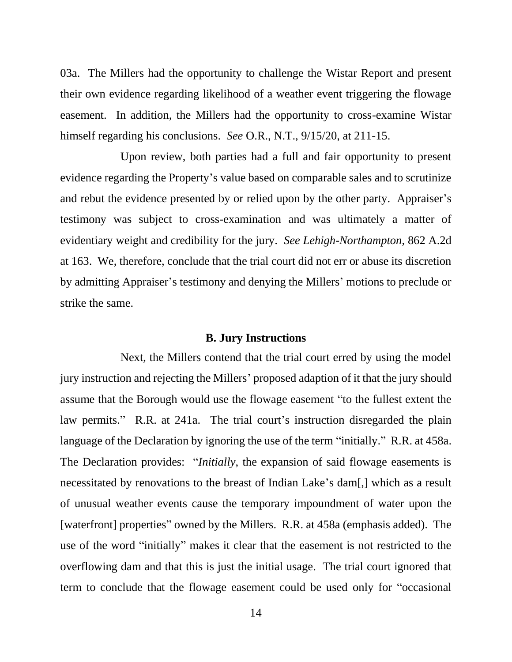03a. The Millers had the opportunity to challenge the Wistar Report and present their own evidence regarding likelihood of a weather event triggering the flowage easement. In addition, the Millers had the opportunity to cross-examine Wistar himself regarding his conclusions. *See* O.R., N.T., 9/15/20, at 211-15.

Upon review, both parties had a full and fair opportunity to present evidence regarding the Property's value based on comparable sales and to scrutinize and rebut the evidence presented by or relied upon by the other party. Appraiser's testimony was subject to cross-examination and was ultimately a matter of evidentiary weight and credibility for the jury. *See Lehigh-Northampton*, 862 A.2d at 163. We, therefore, conclude that the trial court did not err or abuse its discretion by admitting Appraiser's testimony and denying the Millers' motions to preclude or strike the same.

#### **B. Jury Instructions**

Next, the Millers contend that the trial court erred by using the model jury instruction and rejecting the Millers' proposed adaption of it that the jury should assume that the Borough would use the flowage easement "to the fullest extent the law permits." R.R. at 241a. The trial court's instruction disregarded the plain language of the Declaration by ignoring the use of the term "initially." R.R. at 458a. The Declaration provides: "*Initially*, the expansion of said flowage easements is necessitated by renovations to the breast of Indian Lake's dam[,] which as a result of unusual weather events cause the temporary impoundment of water upon the [waterfront] properties" owned by the Millers. R.R. at 458a (emphasis added). The use of the word "initially" makes it clear that the easement is not restricted to the overflowing dam and that this is just the initial usage. The trial court ignored that term to conclude that the flowage easement could be used only for "occasional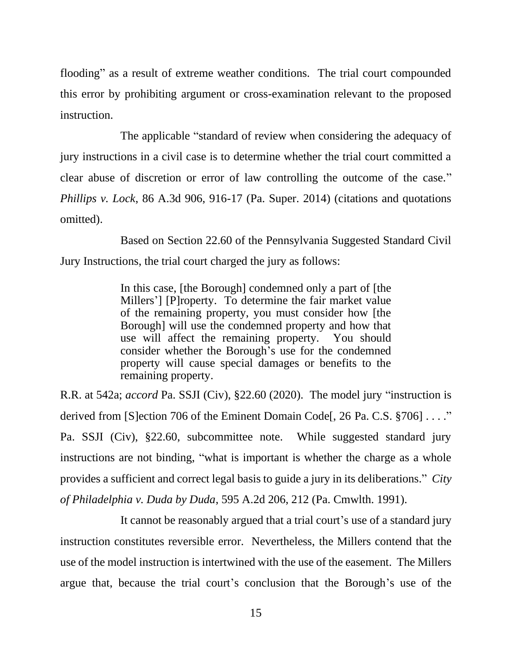flooding" as a result of extreme weather conditions. The trial court compounded this error by prohibiting argument or cross-examination relevant to the proposed instruction.

The applicable "standard of review when considering the adequacy of jury instructions in a civil case is to determine whether the trial court committed a clear abuse of discretion or error of law controlling the outcome of the case." *Phillips v. Lock*, 86 A.3d 906, 916-17 (Pa. Super. 2014) (citations and quotations omitted).

Based on Section 22.60 of the Pennsylvania Suggested Standard Civil Jury Instructions, the trial court charged the jury as follows:

> In this case, [the Borough] condemned only a part of [the Millers'] [P]roperty. To determine the fair market value of the remaining property, you must consider how [the Borough] will use the condemned property and how that use will affect the remaining property. You should consider whether the Borough's use for the condemned property will cause special damages or benefits to the remaining property.

R.R. at 542a; *accord* Pa. SSJI (Civ), §22.60 (2020). The model jury "instruction is derived from [S]ection 706 of the Eminent Domain Code[, 26 Pa. C.S. §706] . . . ." Pa. SSJI (Civ), §22.60, subcommittee note. While suggested standard jury instructions are not binding, "what is important is whether the charge as a whole provides a sufficient and correct legal basis to guide a jury in its deliberations." *City of Philadelphia v. Duda by Duda*, 595 A.2d 206, 212 (Pa. Cmwlth. 1991).

It cannot be reasonably argued that a trial court's use of a standard jury instruction constitutes reversible error. Nevertheless, the Millers contend that the use of the model instruction is intertwined with the use of the easement. The Millers argue that, because the trial court's conclusion that the Borough's use of the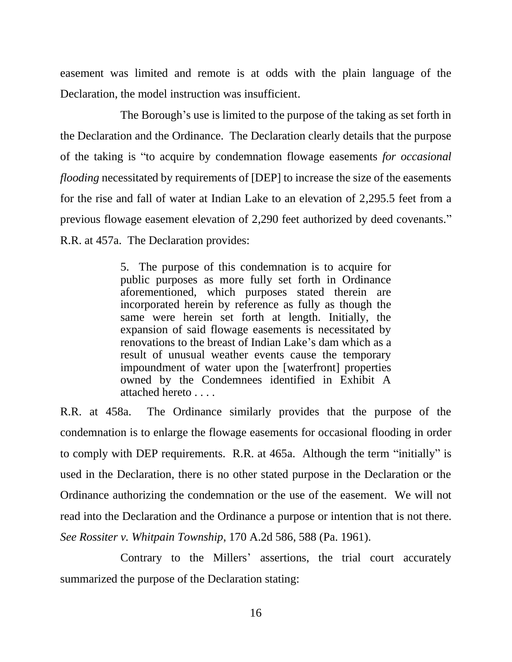easement was limited and remote is at odds with the plain language of the Declaration, the model instruction was insufficient.

The Borough's use is limited to the purpose of the taking as set forth in the Declaration and the Ordinance. The Declaration clearly details that the purpose of the taking is "to acquire by condemnation flowage easements *for occasional flooding* necessitated by requirements of [DEP] to increase the size of the easements for the rise and fall of water at Indian Lake to an elevation of 2,295.5 feet from a previous flowage easement elevation of 2,290 feet authorized by deed covenants." R.R. at 457a. The Declaration provides:

> 5. The purpose of this condemnation is to acquire for public purposes as more fully set forth in Ordinance aforementioned, which purposes stated therein are incorporated herein by reference as fully as though the same were herein set forth at length. Initially, the expansion of said flowage easements is necessitated by renovations to the breast of Indian Lake's dam which as a result of unusual weather events cause the temporary impoundment of water upon the [waterfront] properties owned by the Condemnees identified in Exhibit A attached hereto . . . .

R.R. at 458a. The Ordinance similarly provides that the purpose of the condemnation is to enlarge the flowage easements for occasional flooding in order to comply with DEP requirements. R.R. at 465a. Although the term "initially" is used in the Declaration, there is no other stated purpose in the Declaration or the Ordinance authorizing the condemnation or the use of the easement. We will not read into the Declaration and the Ordinance a purpose or intention that is not there. *See Rossiter v. Whitpain Township*, 170 A.2d 586, 588 (Pa. 1961).

Contrary to the Millers' assertions, the trial court accurately summarized the purpose of the Declaration stating: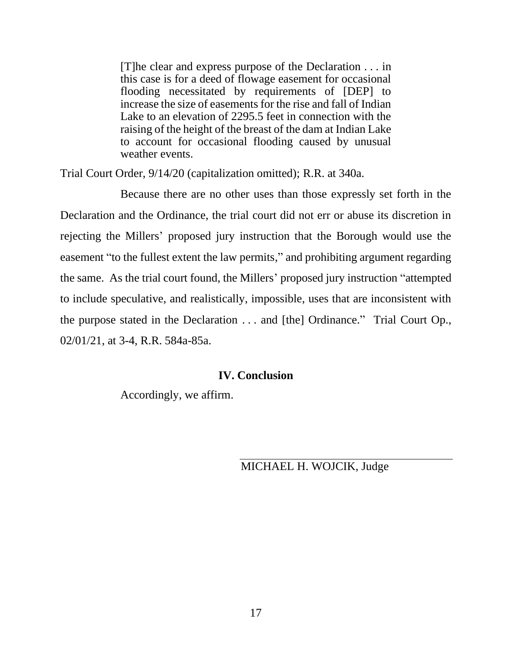[T]he clear and express purpose of the Declaration . . . in this case is for a deed of flowage easement for occasional flooding necessitated by requirements of [DEP] to increase the size of easements for the rise and fall of Indian Lake to an elevation of 2295.5 feet in connection with the raising of the height of the breast of the dam at Indian Lake to account for occasional flooding caused by unusual weather events.

Trial Court Order, 9/14/20 (capitalization omitted); R.R. at 340a.

Because there are no other uses than those expressly set forth in the Declaration and the Ordinance, the trial court did not err or abuse its discretion in rejecting the Millers' proposed jury instruction that the Borough would use the easement "to the fullest extent the law permits," and prohibiting argument regarding the same. As the trial court found, the Millers' proposed jury instruction "attempted to include speculative, and realistically, impossible, uses that are inconsistent with the purpose stated in the Declaration . . . and [the] Ordinance." Trial Court Op., 02/01/21, at 3-4, R.R. 584a-85a.

## **IV. Conclusion**

Accordingly, we affirm.

## MICHAEL H. WOJCIK, Judge